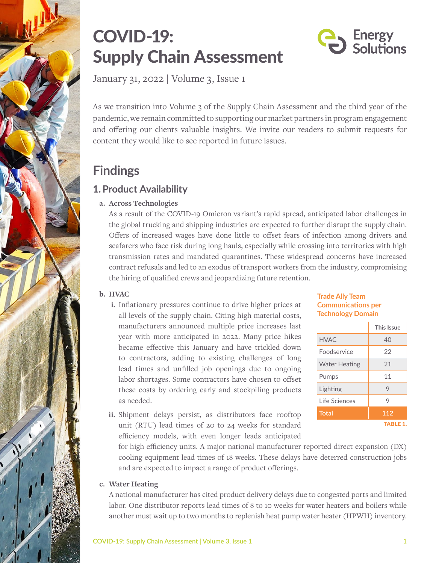



January 31, 2022 | Volume 3, Issue 1

As we transition into Volume 3 of the Supply Chain Assessment and the third year of the pandemic, we remain committed to supporting our market partners in program engagement and offering our clients valuable insights. We invite our readers to submit requests for content they would like to see reported in future issues.

# **Findings**

# **1.Product Availability**

### **a. Across Technologies**

As a result of the COVID-19 Omicron variant's rapid spread, anticipated labor challenges in the global trucking and shipping industries are expected to further disrupt the supply chain. Offers of increased wages have done little to offset fears of infection among drivers and seafarers who face risk during long hauls, especially while crossing into territories with high transmission rates and mandated quarantines. These widespread concerns have increased contract refusals and led to an exodus of transport workers from the industry, compromising the hiring of qualified crews and jeopardizing future retention.

### **b. HVAC**

**i.** Inflationary pressures continue to drive higher prices at all levels of the supply chain. Citing high material costs, manufacturers announced multiple price increases last year with more anticipated in 2022. Many price hikes became effective this January and have trickled down to contractors, adding to existing challenges of long lead times and unfilled job openings due to ongoing labor shortages. Some contractors have chosen to offset these costs by ordering early and stockpiling products as needed.

#### **Trade Ally Team Communications per Technology Domain**

|                      | This Issue      |
|----------------------|-----------------|
| HVAC.                | 40              |
| Foodservice          | 22              |
| <b>Water Heating</b> | 21              |
| Pumps                | 11              |
| Lighting             | 9               |
| Life Sciences        | 9               |
| <b>Total</b>         | 112             |
|                      | <b>TABLE 1.</b> |

**ii.** Shipment delays persist, as distributors face rooftop unit (RTU) lead times of 20 to 24 weeks for standard efficiency models, with even longer leads anticipated

for high efficiency units. A major national manufacturer reported direct expansion (DX) cooling equipment lead times of 18 weeks. These delays have deterred construction jobs and are expected to impact a range of product offerings.

### **c. Water Heating**

A national manufacturer has cited product delivery delays due to congested ports and limited labor. One distributor reports lead times of 8 to 10 weeks for water heaters and boilers while another must wait up to two months to replenish heat pump water heater (HPWH) inventory.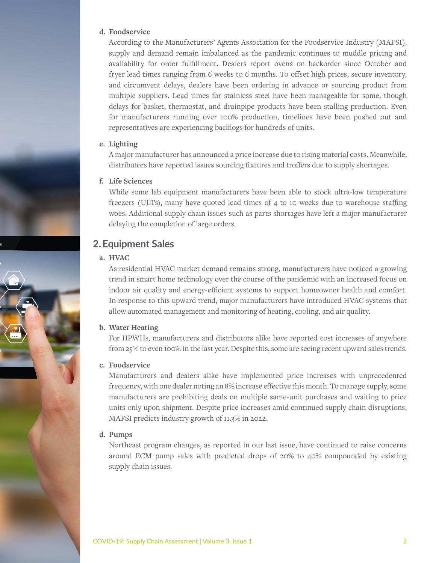#### **d. Foodservice**

According to the Manufacturers' Agents Association for the Foodservice Industry (MAFSI), supply and demand remain imbalanced as the pandemic continues to muddle pricing and availability for order fulfillment. Dealers report ovens on backorder since October and fryer lead times ranging from 6 weeks to 6 months. To offset high prices, secure inventory, and circumvent delays, dealers have been ordering in advance or sourcing product from multiple suppliers. Lead times for stainless steel have been manageable for some, though delays for basket, thermostat, and drainpipe products have been stalling production. Even for manufacturers running over 100% production, timelines have been pushed out and representatives are experiencing backlogs for hundreds of units.

#### **e. Lighting**

A major manufacturer has announced a price increase due to rising material costs. Meanwhile, distributors have reported issues sourcing fixtures and troffers due to supply shortages.

#### **f. Life Sciences**

While some lab equipment manufacturers have been able to stock ultra-low temperature freezers (ULTs), many have quoted lead times of 4 to 10 weeks due to warehouse staffing woes. Additional supply chain issues such as parts shortages have left a major manufacturer delaying the completion of large orders.

### **2.Equipment Sales**

#### **a. HVAC**

As residential HVAC market demand remains strong, manufacturers have noticed a growing trend in smart home technology over the course of the pandemic with an increased focus on indoor air quality and energy-efficient systems to support homeowner health and comfort. In response to this upward trend, major manufacturers have introduced HVAC systems that allow automated management and monitoring of heating, cooling, and air quality.

#### **b. Water Heating**

For HPWHs, manufacturers and distributors alike have reported cost increases of anywhere from 25% to even 100% in the last year. Despite this, some are seeing recent upward sales trends.

#### **c. Foodservice**

Manufacturers and dealers alike have implemented price increases with unprecedented frequency, with one dealer noting an 8% increase effective this month. To manage supply, some manufacturers are prohibiting deals on multiple same-unit purchases and waiting to price units only upon shipment. Despite price increases amid continued supply chain disruptions, MAFSI predicts industry growth of 11.3% in 2022.

#### **d. Pumps**

Northeast program changes, as reported in our last issue, have continued to raise concerns around ECM pump sales with predicted drops of 20% to 40% compounded by existing supply chain issues.